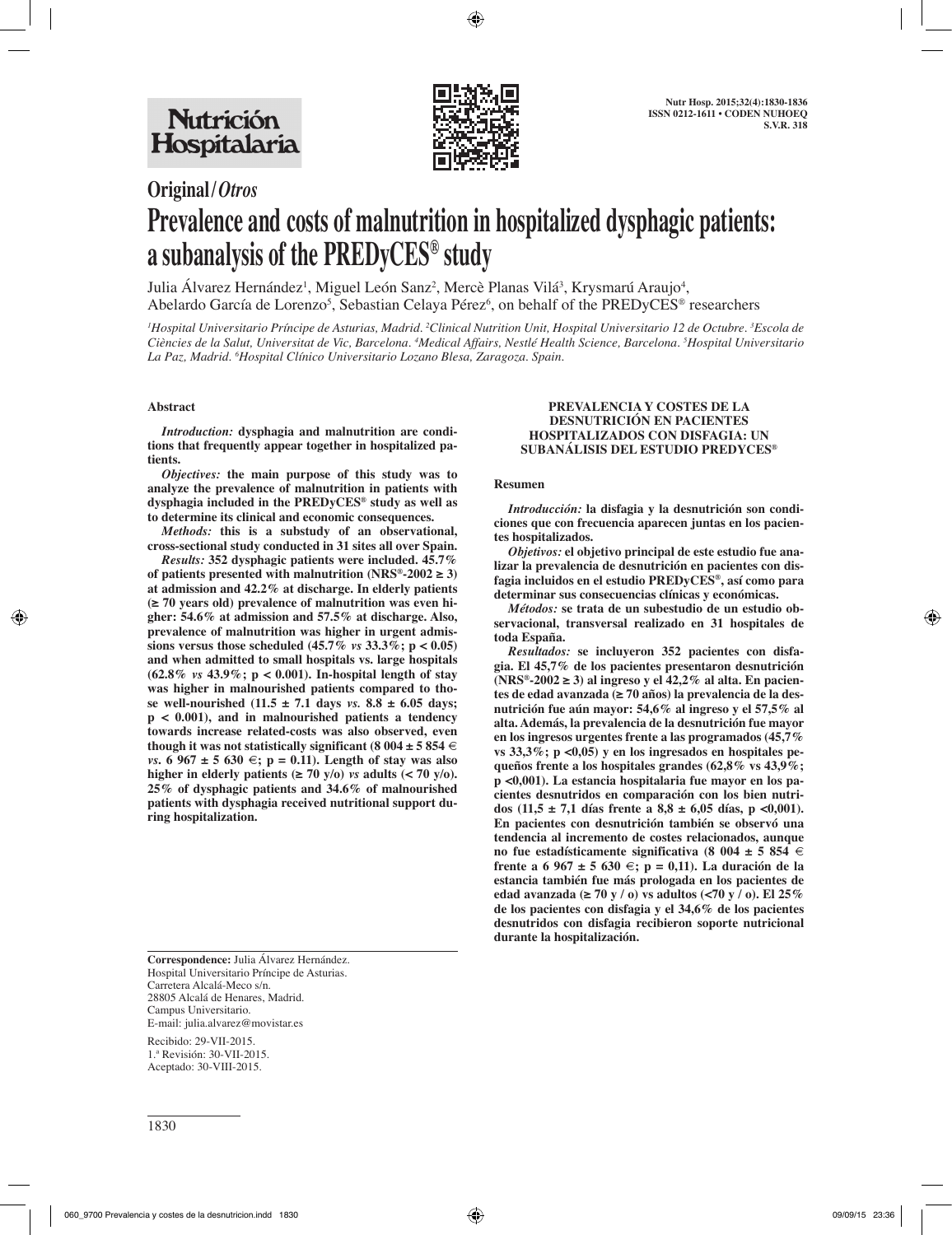

# **Original/***Otros*

# **Prevalence and costs of malnutrition in hospitalized dysphagic patients: a subanalysis of the PREDyCES® study**

Julia Alvarez Hernández<sup>1</sup>, Miguel León Sanz<sup>2</sup>, Mercè Planas Vilá<sup>3</sup>, Krysmarú Araujo<sup>4</sup>, Abelardo García de Lorenzo<sup>5</sup>, Sebastian Celaya Pérez<sup>6</sup>, on behalf of the PREDyCES® researchers

*1 Hospital Universitario Príncipe de Asturias, Madrid. 2 Clinical Nutrition Unit, Hospital Universitario 12 de Octubre. 3 Escola de Ciències de la Salut, Universitat de Vic, Barcelona. 4 Medical Affairs, Nestlé Health Science, Barcelona. 5 Hospital Universitario La Paz, Madrid. 6 Hospital Clínico Universitario Lozano Blesa, Zaragoza. Spain.* 

# **Abstract**

*Introduction:* **dysphagia and malnutrition are conditions that frequently appear together in hospitalized patients.** 

*Objectives:* **the main purpose of this study was to analyze the prevalence of malnutrition in patients with dysphagia included in the PREDyCES® study as well as to determine its clinical and economic consequences.** 

*Methods:* **this is a substudy of an observational, cross-sectional study conducted in 31 sites all over Spain.** 

*Results:* **352 dysphagic patients were included. 45.7%**  of patients presented with malnutrition (NRS<sup>®</sup>-2002  $\geq$  3) **at admission and 42.2% at discharge. In elderly patients (≥ 70 years old) prevalence of malnutrition was even higher: 54.6% at admission and 57.5% at discharge. Also, prevalence of malnutrition was higher in urgent admissions versus those scheduled (45.7%** *vs* **33.3%; p < 0.05) and when admitted to small hospitals vs. large hospitals (62.8%** *vs* **43.9%; p < 0.001). In-hospital length of stay was higher in malnourished patients compared to those well-nourished (11.5 ± 7.1 days** *vs.* **8.8 ± 6.05 days; p < 0.001), and in malnourished patients a tendency towards increase related-costs was also observed, even**  though it was not statistically significant (8 004  $\pm$  5 854  $\in$ *vs***.** 6 967 ± 5 630 €; p = 0.11). Length of stay was also higher in elderly patients  $(\geq 70 \text{ y/o})$  *vs* adults  $(< 70 \text{ y/o})$ . **25% of dysphagic patients and 34.6% of malnourished patients with dysphagia received nutritional support during hospitalization.** 

**PREVALENCIA Y COSTES DE LA DESNUTRICIÓN EN PACIENTES HOSPITALIZADOS CON DISFAGIA: UN** 

# **SUBANÁLISIS DEL ESTUDIO PREDYCES®**

#### **Resumen**

*Introducción:* **la disfagia y la desnutrición son condiciones que con frecuencia aparecen juntas en los pacientes hospitalizados.**

*Objetivos:* **el objetivo principal de este estudio fue analizar la prevalencia de desnutrición en pacientes con disfagia incluidos en el estudio PREDyCES®, así como para determinar sus consecuencias clínicas y económicas.**

*Métodos:* **se trata de un subestudio de un estudio observacional, transversal realizado en 31 hospitales de toda España.**

*Resultados:* **se incluyeron 352 pacientes con disfagia. El 45,7% de los pacientes presentaron desnutrición (NRS®-2002 ≥ 3) al ingreso y el 42,2% al alta. En pacientes de edad avanzada (≥ 70 años) la prevalencia de la desnutrición fue aún mayor: 54,6% al ingreso y el 57,5% al alta. Además, la prevalencia de la desnutrición fue mayor en los ingresos urgentes frente a las programados (45,7% vs 33,3%; p <0,05) y en los ingresados en hospitales pequeños frente a los hospitales grandes (62,8% vs 43,9%; p <0,001). La estancia hospitalaria fue mayor en los pacientes desnutridos en comparación con los bien nutri**dos (11,5  $\pm$  7,1 días frente a 8,8  $\pm$  6,05 días, p <0,001). **En pacientes con desnutrición también se observó una tendencia al incremento de costes relacionados, aunque no fue estadísticamente significativa (8 004 ± 5 854 € frente a 6 967 ± 5 630 €; p = 0,11). La duración de la estancia también fue más prologada en los pacientes de edad avanzada (≥ 70 y / o) vs adultos (<70 y / o). El 25% de los pacientes con disfagia y el 34,6% de los pacientes desnutridos con disfagia recibieron soporte nutricional durante la hospitalización.**

**Correspondence:** Julia Álvarez Hernández. Hospital Universitario Príncipe de Asturias. Carretera Alcalá-Meco s/n. 28805 Alcalá de Henares, Madrid. Campus Universitario. E-mail: julia.alvarez@movistar.es

Recibido: 29-VII-2015. 1.ª Revisión: 30-VII-2015. Aceptado: 30-VIII-2015.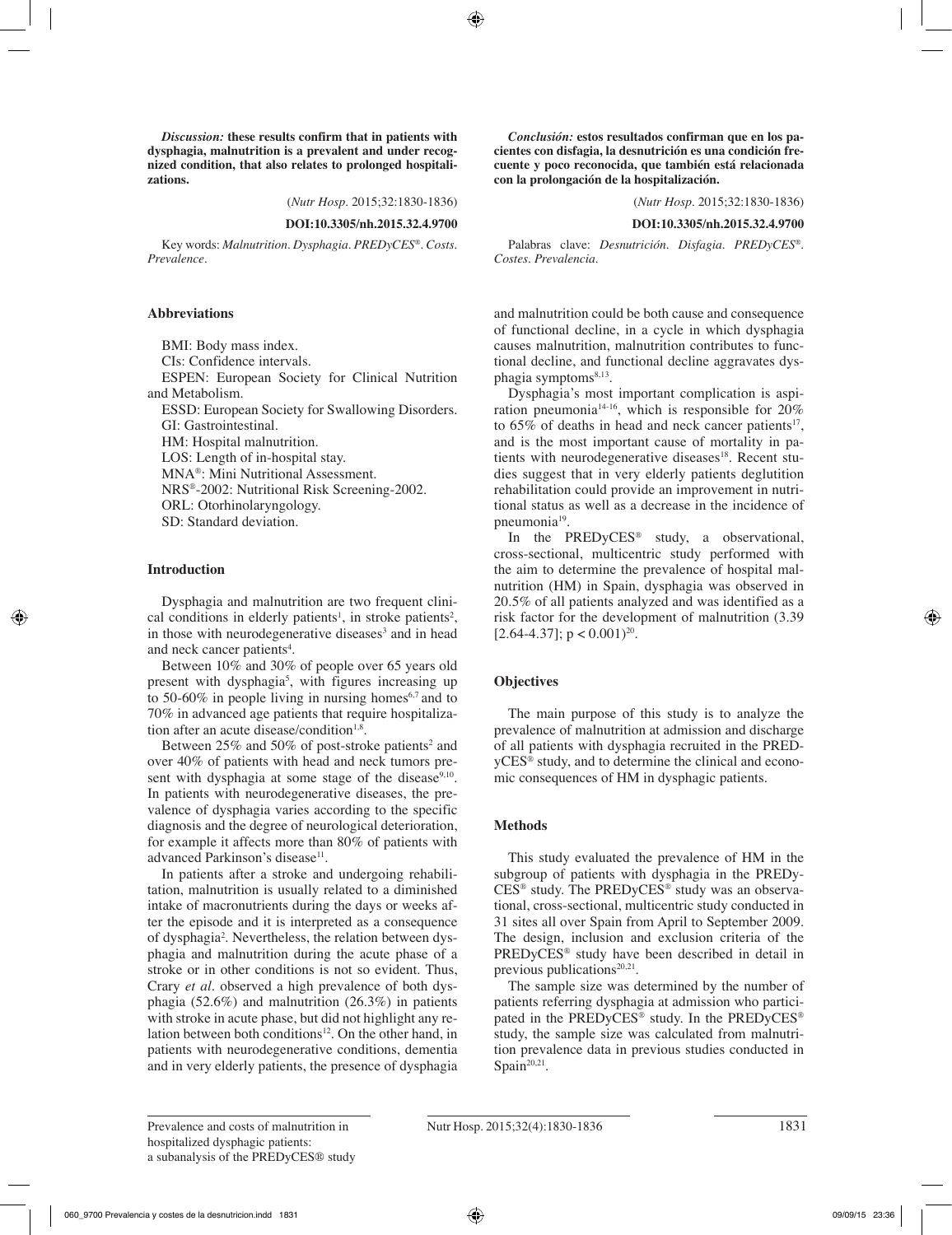*Discussion:* **these results confirm that in patients with dysphagia, malnutrition is a prevalent and under recognized condition, that also relates to prolonged hospitalizations.**

(*Nutr Hosp.* 2015;32:1830-1836)

#### **DOI:10.3305/nh.2015.32.4.9700**

Key words: *Malnutrition. Dysphagia. PREDyCES®. Costs. Prevalence.*

#### **Abbreviations**

BMI: Body mass index. CIs: Confidence intervals. ESPEN: European Society for Clinical Nutrition and Metabolism.

ESSD: European Society for Swallowing Disorders. GI: Gastrointestinal.

HM: Hospital malnutrition.

LOS: Length of in-hospital stay.

MNA®: Mini Nutritional Assessment.

NRS®-2002: Nutritional Risk Screening-2002.

ORL: Otorhinolaryngology.

SD: Standard deviation.

#### **Introduction**

Dysphagia and malnutrition are two frequent clinical conditions in elderly patients<sup>1</sup>, in stroke patients<sup>2</sup>, in those with neurodegenerative diseases<sup>3</sup> and in head and neck cancer patients<sup>4</sup>.

Between 10% and 30% of people over 65 years old present with dysphagia<sup>5</sup>, with figures increasing up to 50-60% in people living in nursing homes<sup> $6,7$ </sup> and to 70% in advanced age patients that require hospitalization after an acute disease/condition $1.8$ .

Between  $25\%$  and  $50\%$  of post-stroke patients<sup>2</sup> and over 40% of patients with head and neck tumors present with dysphagia at some stage of the disease $9,10$ . In patients with neurodegenerative diseases, the prevalence of dysphagia varies according to the specific diagnosis and the degree of neurological deterioration, for example it affects more than 80% of patients with advanced Parkinson's disease<sup>11</sup>.

In patients after a stroke and undergoing rehabilitation, malnutrition is usually related to a diminished intake of macronutrients during the days or weeks after the episode and it is interpreted as a consequence of dysphagia<sup>2</sup>. Nevertheless, the relation between dysphagia and malnutrition during the acute phase of a stroke or in other conditions is not so evident. Thus, Crary *et al.* observed a high prevalence of both dysphagia (52.6%) and malnutrition (26.3%) in patients with stroke in acute phase, but did not highlight any relation between both conditions<sup>12</sup>. On the other hand, in patients with neurodegenerative conditions, dementia and in very elderly patients, the presence of dysphagia

*Conclusión:* **estos resultados confirman que en los pacientes con disfagia, la desnutrición es una condición frecuente y poco reconocida, que también está relacionada con la prolongación de la hospitalización.**

(*Nutr Hosp.* 2015;32:1830-1836)

#### **DOI:10.3305/nh.2015.32.4.9700**

Palabras clave: *Desnutrición. Disfagia. PREDyCES®. Costes. Prevalencia.*

and malnutrition could be both cause and consequence of functional decline, in a cycle in which dysphagia causes malnutrition, malnutrition contributes to functional decline, and functional decline aggravates dysphagia symptoms<sup>8,13</sup>.

Dysphagia's most important complication is aspiration pneumonia14-16, which is responsible for 20% to  $65\%$  of deaths in head and neck cancer patients<sup>17</sup>, and is the most important cause of mortality in patients with neurodegenerative diseases<sup>18</sup>. Recent studies suggest that in very elderly patients deglutition rehabilitation could provide an improvement in nutritional status as well as a decrease in the incidence of pneumonia<sup>19</sup>.

In the PREDyCES® study, a observational, cross-sectional, multicentric study performed with the aim to determine the prevalence of hospital malnutrition (HM) in Spain, dysphagia was observed in 20.5% of all patients analyzed and was identified as a risk factor for the development of malnutrition (3.39  $[2.64-4.37]$ ; p <  $(0.001)^{20}$ .

#### **Objectives**

The main purpose of this study is to analyze the prevalence of malnutrition at admission and discharge of all patients with dysphagia recruited in the PREDyCES® study, and to determine the clinical and economic consequences of HM in dysphagic patients.

#### **Methods**

This study evaluated the prevalence of HM in the subgroup of patients with dysphagia in the PREDy-CES® study. The PREDyCES® study was an observational, cross-sectional, multicentric study conducted in 31 sites all over Spain from April to September 2009. The design, inclusion and exclusion criteria of the PREDyCES® study have been described in detail in previous publications<sup>20,21</sup>.

The sample size was determined by the number of patients referring dysphagia at admission who participated in the PREDyCES® study. In the PREDyCES® study, the sample size was calculated from malnutrition prevalence data in previous studies conducted in Spain<sup>20,21</sup>.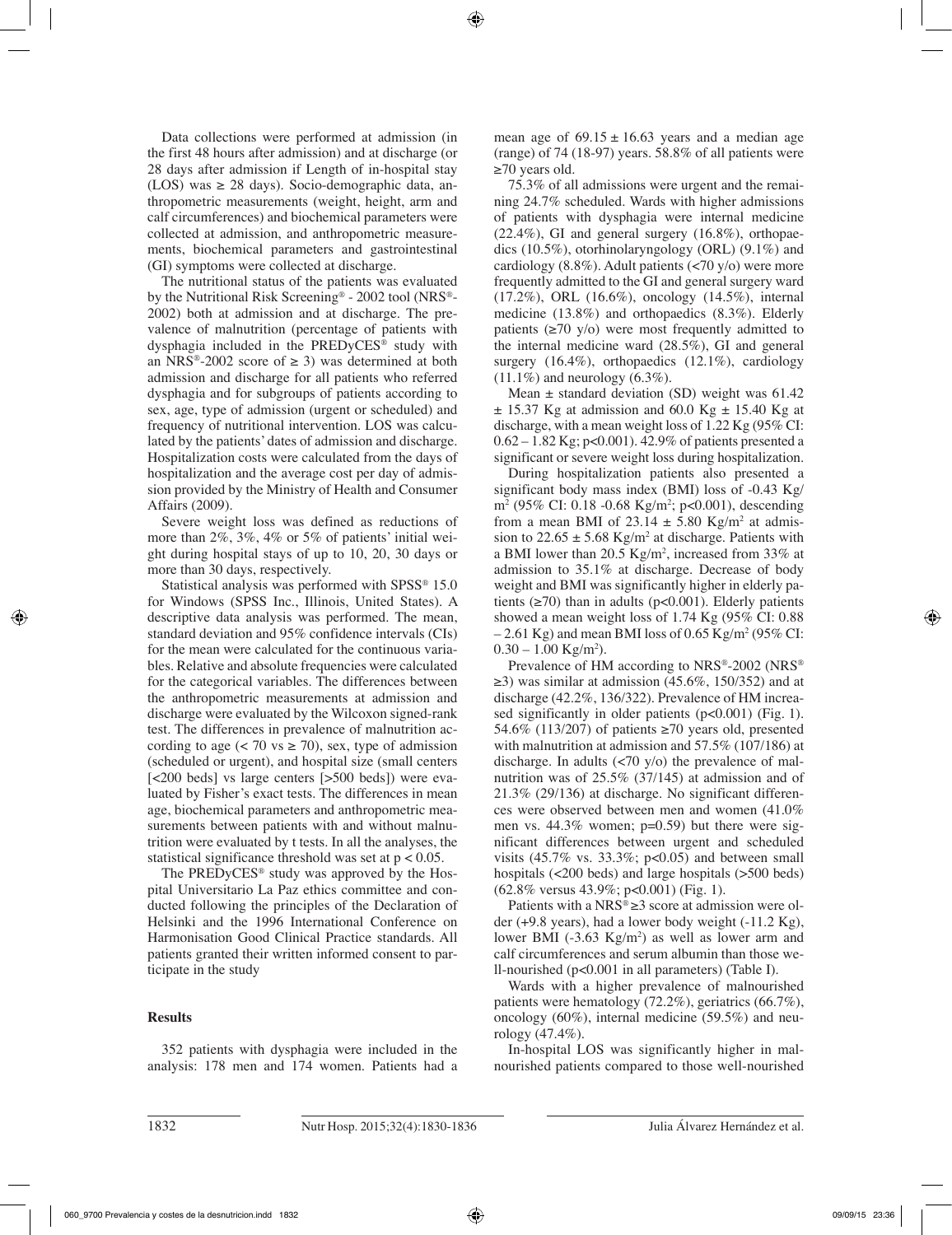Data collections were performed at admission (in the first 48 hours after admission) and at discharge (or 28 days after admission if Length of in-hospital stay (LOS) was  $\geq$  28 days). Socio-demographic data, anthropometric measurements (weight, height, arm and calf circumferences) and biochemical parameters were collected at admission, and anthropometric measurements, biochemical parameters and gastrointestinal (GI) symptoms were collected at discharge.

The nutritional status of the patients was evaluated by the Nutritional Risk Screening® - 2002 tool (NRS®- 2002) both at admission and at discharge. The prevalence of malnutrition (percentage of patients with dysphagia included in the PREDyCES® study with an NRS®-2002 score of  $\geq$  3) was determined at both admission and discharge for all patients who referred dysphagia and for subgroups of patients according to sex, age, type of admission (urgent or scheduled) and frequency of nutritional intervention. LOS was calculated by the patients' dates of admission and discharge. Hospitalization costs were calculated from the days of hospitalization and the average cost per day of admission provided by the Ministry of Health and Consumer Affairs (2009).

Severe weight loss was defined as reductions of more than 2%, 3%, 4% or 5% of patients' initial weight during hospital stays of up to 10, 20, 30 days or more than 30 days, respectively.

Statistical analysis was performed with SPSS<sup>®</sup> 15.0 for Windows (SPSS Inc., Illinois, United States). A descriptive data analysis was performed. The mean, standard deviation and 95% confidence intervals (CIs) for the mean were calculated for the continuous variables. Relative and absolute frequencies were calculated for the categorical variables. The differences between the anthropometric measurements at admission and discharge were evaluated by the Wilcoxon signed-rank test. The differences in prevalence of malnutrition according to age  $(< 70 \text{ vs } \geq 70)$ , sex, type of admission (scheduled or urgent), and hospital size (small centers [<200 beds] vs large centers [>500 beds]) were evaluated by Fisher's exact tests. The differences in mean age, biochemical parameters and anthropometric measurements between patients with and without malnutrition were evaluated by t tests. In all the analyses, the statistical significance threshold was set at  $p < 0.05$ .

The PREDyCES® study was approved by the Hospital Universitario La Paz ethics committee and conducted following the principles of the Declaration of Helsinki and the 1996 International Conference on Harmonisation Good Clinical Practice standards. All patients granted their written informed consent to participate in the study

# **Results**

352 patients with dysphagia were included in the analysis: 178 men and 174 women. Patients had a mean age of  $69.15 \pm 16.63$  years and a median age (range) of 74 (18-97) years. 58.8% of all patients were  $\geq$ 70 years old.

75.3% of all admissions were urgent and the remaining 24.7% scheduled. Wards with higher admissions of patients with dysphagia were internal medicine (22.4%), GI and general surgery (16.8%), orthopaedics (10.5%), otorhinolaryngology (ORL) (9.1%) and cardiology (8.8%). Adult patients (<70 y/o) were more frequently admitted to the GI and general surgery ward (17.2%), ORL (16.6%), oncology (14.5%), internal medicine (13.8%) and orthopaedics (8.3%). Elderly patients  $(\geq 70 \text{ y/o})$  were most frequently admitted to the internal medicine ward (28.5%), GI and general surgery (16.4%), orthopaedics (12.1%), cardiology  $(11.1\%)$  and neurology  $(6.3\%).$ 

Mean  $\pm$  standard deviation (SD) weight was 61.42  $\pm$  15.37 Kg at admission and 60.0 Kg  $\pm$  15.40 Kg at discharge, with a mean weight loss of 1.22 Kg (95% CI: 0.62 – 1.82 Kg; p<0.001). 42.9% of patients presented a significant or severe weight loss during hospitalization.

During hospitalization patients also presented a significant body mass index (BMI) loss of -0.43 Kg/ m2 (95% CI: 0.18 -0.68 Kg/m2 ; p<0.001), descending from a mean BMI of  $23.14 \pm 5.80$  Kg/m<sup>2</sup> at admission to  $22.65 \pm 5.68$  Kg/m<sup>2</sup> at discharge. Patients with a BMI lower than 20.5  $Kg/m^2$ , increased from 33% at admission to 35.1% at discharge. Decrease of body weight and BMI was significantly higher in elderly patients  $(\geq 70)$  than in adults (p<0.001). Elderly patients showed a mean weight loss of 1.74 Kg (95% CI: 0.88  $-2.61$  Kg) and mean BMI loss of 0.65 Kg/m<sup>2</sup> (95% CI:  $0.30 - 1.00 \text{ Kg/m}^2$ ).

Prevalence of HM according to NRS®-2002 (NRS®  $\geq$ 3) was similar at admission (45.6%, 150/352) and at discharge (42.2%, 136/322). Prevalence of HM increased significantly in older patients (p<0.001) (Fig. 1). 54.6% (113/207) of patients ≥70 years old, presented with malnutrition at admission and 57.5% (107/186) at discharge. In adults  $\left(\frac{1}{20} \frac{\nu}{\rho}\right)$  the prevalence of malnutrition was of 25.5% (37/145) at admission and of 21.3% (29/136) at discharge. No significant differences were observed between men and women (41.0% men vs. 44.3% women; p=0.59) but there were significant differences between urgent and scheduled visits  $(45.7\% \text{ vs. } 33.3\%; \text{ p<0.05})$  and between small hospitals (<200 beds) and large hospitals (>500 beds) (62.8% versus 43.9%; p<0.001) (Fig. 1).

Patients with a  $NRS^{\circledast} \geq 3$  score at admission were older (+9.8 years), had a lower body weight (-11.2 Kg), lower BMI  $(-3.63 \text{ Kg/m}^2)$  as well as lower arm and calf circumferences and serum albumin than those well-nourished (p<0.001 in all parameters) (Table I).

Wards with a higher prevalence of malnourished patients were hematology (72.2%), geriatrics (66.7%), oncology (60%), internal medicine (59.5%) and neurology (47.4%).

In-hospital LOS was significantly higher in malnourished patients compared to those well-nourished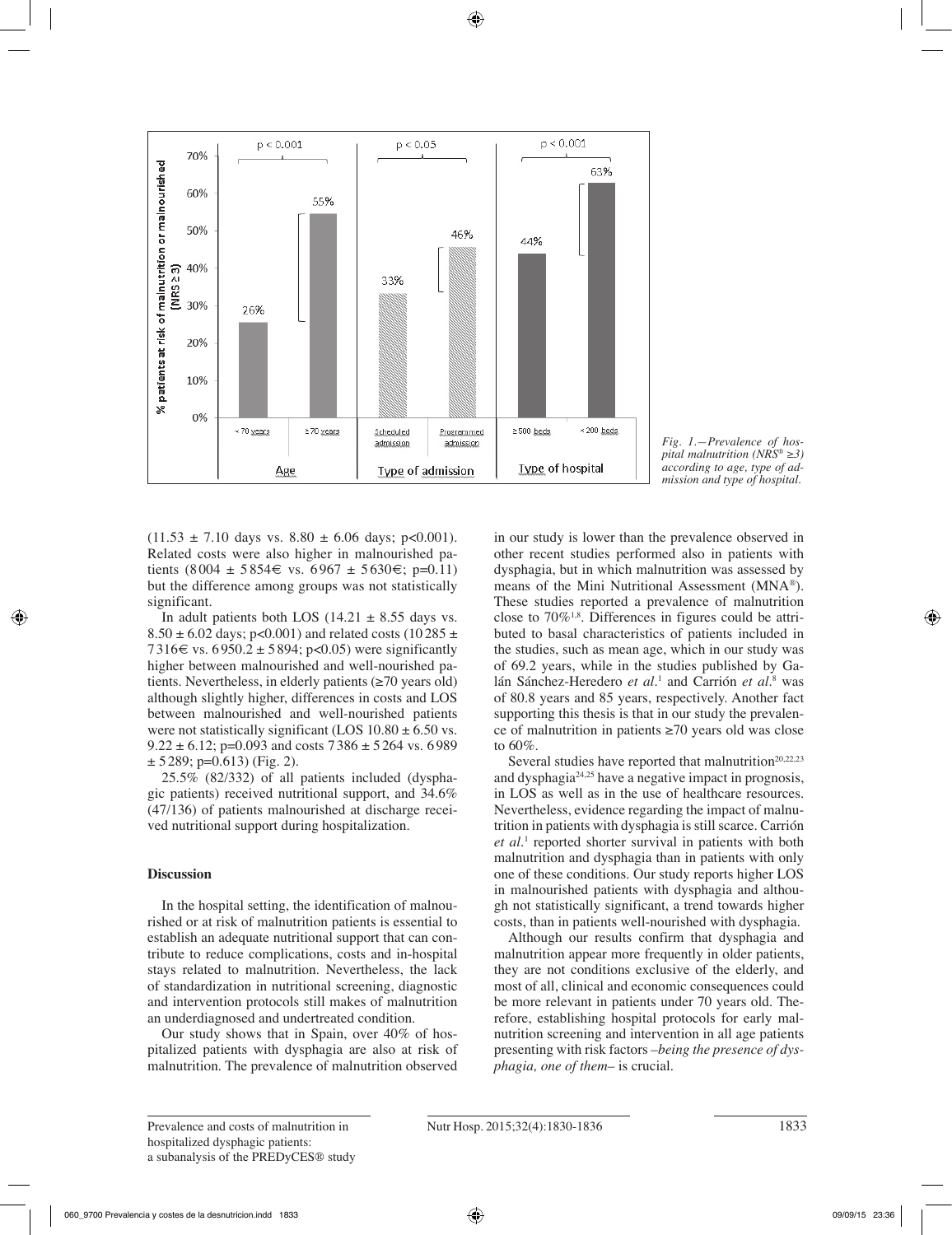

*Fig. 1.—Prevalence of hospital malnutrition (NRS® ≥3) according to age, type of admission and type of hospital.*

 $(11.53 \pm 7.10 \text{ days vs. } 8.80 \pm 6.06 \text{ days}; \text{ p} < 0.001).$ Related costs were also higher in malnourished patients (8004 ± 5854€ vs. 6967 ± 5630€; p=0.11) but the difference among groups was not statistically significant.

In adult patients both LOS  $(14.21 \pm 8.55$  days vs. 8.50  $\pm$  6.02 days; p<0.001) and related costs (10 285  $\pm$ 7316€ vs. 6950.2 ± 5894; p<0.05) were significantly higher between malnourished and well-nourished patients. Nevertheless, in elderly patients (≥70 years old) although slightly higher, differences in costs and LOS between malnourished and well-nourished patients were not statistically significant (LOS  $10.80 \pm 6.50$  vs.  $9.22 \pm 6.12$ ; p=0.093 and costs  $7386 \pm 5264$  vs. 6989  $\pm$  5289; p=0.613) (Fig. 2).

25.5% (82/332) of all patients included (dysphagic patients) received nutritional support, and 34.6% (47/136) of patients malnourished at discharge received nutritional support during hospitalization.

# **Discussion**

In the hospital setting, the identification of malnourished or at risk of malnutrition patients is essential to establish an adequate nutritional support that can contribute to reduce complications, costs and in-hospital stays related to malnutrition. Nevertheless, the lack of standardization in nutritional screening, diagnostic and intervention protocols still makes of malnutrition an underdiagnosed and undertreated condition.

Our study shows that in Spain, over 40% of hospitalized patients with dysphagia are also at risk of malnutrition. The prevalence of malnutrition observed in our study is lower than the prevalence observed in other recent studies performed also in patients with dysphagia, but in which malnutrition was assessed by means of the Mini Nutritional Assessment (MNA®). These studies reported a prevalence of malnutrition close to  $70\%$ <sup>1,8</sup>. Differences in figures could be attributed to basal characteristics of patients included in the studies, such as mean age, which in our study was of 69.2 years, while in the studies published by Galán Sánchez-Heredero *et al*.<sup>1</sup> and Carrión *et al*.<sup>8</sup> was of 80.8 years and 85 years, respectively. Another fact supporting this thesis is that in our study the prevalence of malnutrition in patients ≥70 years old was close to 60%.

Several studies have reported that malnutrition<sup>20,22,23</sup> and dysphagia24,25 have a negative impact in prognosis, in LOS as well as in the use of healthcare resources. Nevertheless, evidence regarding the impact of malnutrition in patients with dysphagia is still scarce. Carrión et al.<sup>1</sup> reported shorter survival in patients with both malnutrition and dysphagia than in patients with only one of these conditions. Our study reports higher LOS in malnourished patients with dysphagia and although not statistically significant, a trend towards higher costs, than in patients well-nourished with dysphagia.

Although our results confirm that dysphagia and malnutrition appear more frequently in older patients, they are not conditions exclusive of the elderly, and most of all, clinical and economic consequences could be more relevant in patients under 70 years old. Therefore, establishing hospital protocols for early malnutrition screening and intervention in all age patients presenting with risk factors *–being the presence of dysphagia, one of them–* is crucial.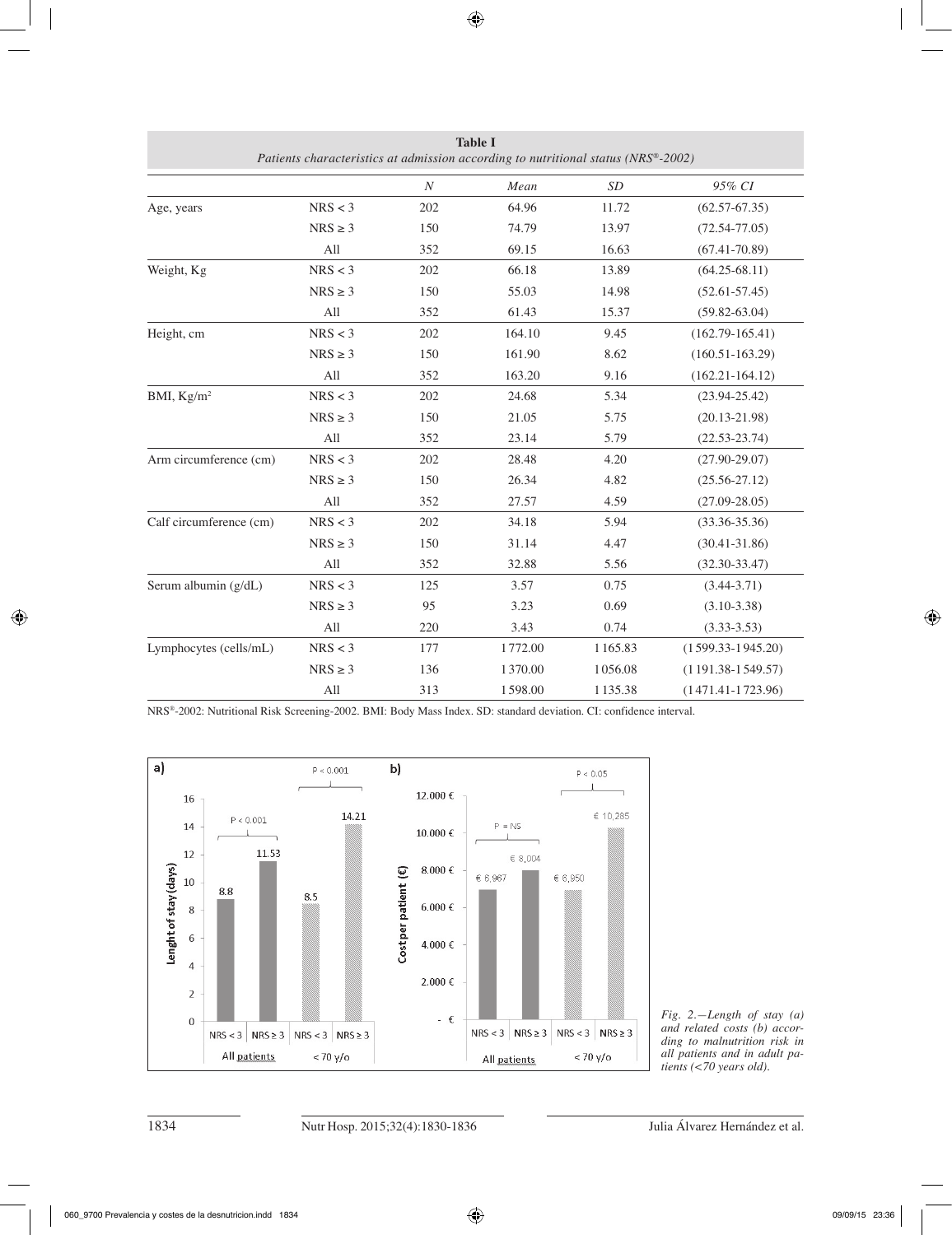| I anches characteristics at aumession according to nun inonat status (1910 - 2002) |              |                  |         |         |                       |
|------------------------------------------------------------------------------------|--------------|------------------|---------|---------|-----------------------|
|                                                                                    |              | $\boldsymbol{N}$ | Mean    | SD      | 95% CI                |
| Age, years                                                                         | NRS < 3      | 202              | 64.96   | 11.72   | $(62.57 - 67.35)$     |
|                                                                                    | $NRS \geq 3$ | 150              | 74.79   | 13.97   | $(72.54 - 77.05)$     |
|                                                                                    | All          | 352              | 69.15   | 16.63   | $(67.41 - 70.89)$     |
| Weight, Kg                                                                         | NRS < 3      | 202              | 66.18   | 13.89   | $(64.25 - 68.11)$     |
|                                                                                    | $NRS \geq 3$ | 150              | 55.03   | 14.98   | $(52.61 - 57.45)$     |
|                                                                                    | All          | 352              | 61.43   | 15.37   | $(59.82 - 63.04)$     |
| Height, cm                                                                         | NRS < 3      | 202              | 164.10  | 9.45    | $(162.79-165.41)$     |
|                                                                                    | $NRS \geq 3$ | 150              | 161.90  | 8.62    | $(160.51 - 163.29)$   |
|                                                                                    | All          | 352              | 163.20  | 9.16    | $(162.21 - 164.12)$   |
| BMI, $Kg/m^2$                                                                      | NRS < 3      | 202              | 24.68   | 5.34    | $(23.94 - 25.42)$     |
|                                                                                    | $NRS \geq 3$ | 150              | 21.05   | 5.75    | $(20.13 - 21.98)$     |
|                                                                                    | All          | 352              | 23.14   | 5.79    | $(22.53 - 23.74)$     |
| Arm circumference (cm)                                                             | NRS < 3      | 202              | 28.48   | 4.20    | $(27.90 - 29.07)$     |
|                                                                                    | $NRS \geq 3$ | 150              | 26.34   | 4.82    | $(25.56 - 27.12)$     |
|                                                                                    | All          | 352              | 27.57   | 4.59    | $(27.09 - 28.05)$     |
| Calf circumference (cm)                                                            | NRS < 3      | 202              | 34.18   | 5.94    | $(33.36 - 35.36)$     |
|                                                                                    | $NRS \geq 3$ | 150              | 31.14   | 4.47    | $(30.41 - 31.86)$     |
|                                                                                    | All          | 352              | 32.88   | 5.56    | $(32.30 - 33.47)$     |
| Serum albumin (g/dL)                                                               | NRS < 3      | 125              | 3.57    | 0.75    | $(3.44 - 3.71)$       |
|                                                                                    | $NRS \geq 3$ | 95               | 3.23    | 0.69    | $(3.10-3.38)$         |
|                                                                                    | All          | 220              | 3.43    | 0.74    | $(3.33 - 3.53)$       |
| Lymphocytes (cells/mL)                                                             | NRS < 3      | 177              | 1772.00 | 1165.83 | $(1599.33 - 1945.20)$ |
|                                                                                    | $NRS \geq 3$ | 136              | 1370.00 | 1056.08 | $(1191.38 - 1549.57)$ |
|                                                                                    | All          | 313              | 1598.00 | 1135.38 | $(1471.41 - 1723.96)$ |

**Table I** *Patients characteristics at admission according to nutritional status (NRS®-2002)*

NRS®-2002: Nutritional Risk Screening-2002. BMI: Body Mass Index. SD: standard deviation. CI: confidence interval.



*Fig. 2.—Length of stay (a) and related costs (b) according to malnutrition risk in all patients and in adult patients (<70 years old).*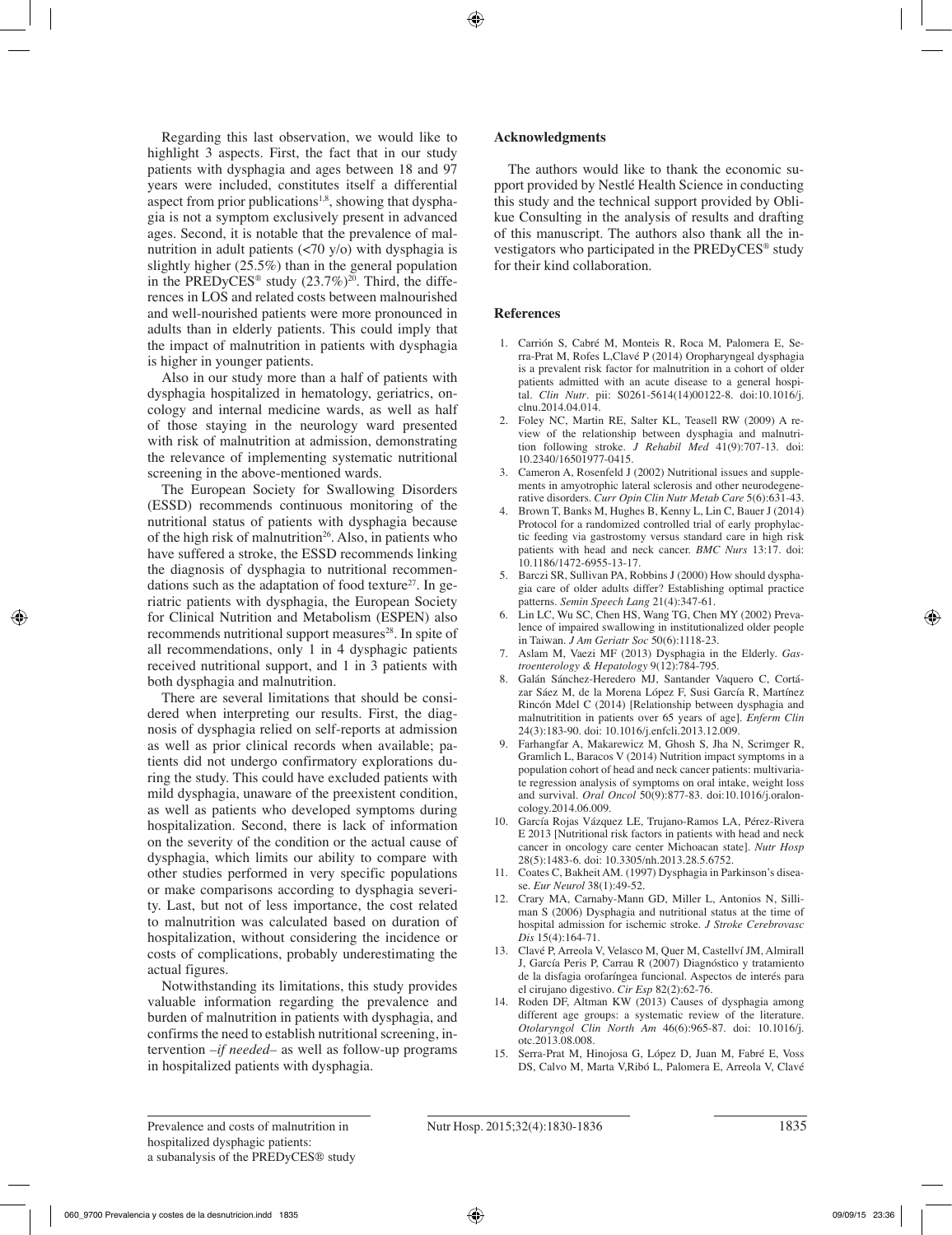Regarding this last observation, we would like to highlight 3 aspects. First, the fact that in our study patients with dysphagia and ages between 18 and 97 years were included, constitutes itself a differential aspect from prior publications<sup>1,8</sup>, showing that dysphagia is not a symptom exclusively present in advanced ages. Second, it is notable that the prevalence of malnutrition in adult patients (<70 y/o) with dysphagia is slightly higher (25.5%) than in the general population in the PREDyCES<sup>®</sup> study  $(23.7\%)^{20}$ . Third, the differences in LOS and related costs between malnourished and well-nourished patients were more pronounced in adults than in elderly patients. This could imply that the impact of malnutrition in patients with dysphagia is higher in younger patients.

Also in our study more than a half of patients with dysphagia hospitalized in hematology, geriatrics, oncology and internal medicine wards, as well as half of those staying in the neurology ward presented with risk of malnutrition at admission, demonstrating the relevance of implementing systematic nutritional screening in the above-mentioned wards.

The European Society for Swallowing Disorders (ESSD) recommends continuous monitoring of the nutritional status of patients with dysphagia because of the high risk of malnutrition<sup>26</sup>. Also, in patients who have suffered a stroke, the ESSD recommends linking the diagnosis of dysphagia to nutritional recommendations such as the adaptation of food texture<sup>27</sup>. In geriatric patients with dysphagia, the European Society for Clinical Nutrition and Metabolism (ESPEN) also recommends nutritional support measures<sup>28</sup>. In spite of all recommendations, only 1 in 4 dysphagic patients received nutritional support, and 1 in 3 patients with both dysphagia and malnutrition.

There are several limitations that should be considered when interpreting our results. First, the diagnosis of dysphagia relied on self-reports at admission as well as prior clinical records when available; patients did not undergo confirmatory explorations during the study. This could have excluded patients with mild dysphagia, unaware of the preexistent condition, as well as patients who developed symptoms during hospitalization. Second, there is lack of information on the severity of the condition or the actual cause of dysphagia, which limits our ability to compare with other studies performed in very specific populations or make comparisons according to dysphagia severity. Last, but not of less importance, the cost related to malnutrition was calculated based on duration of hospitalization, without considering the incidence or costs of complications, probably underestimating the actual figures.

Notwithstanding its limitations, this study provides valuable information regarding the prevalence and burden of malnutrition in patients with dysphagia, and confirms the need to establish nutritional screening, intervention *–if needed–* as well as follow-up programs in hospitalized patients with dysphagia.

# **Acknowledgments**

The authors would like to thank the economic support provided by Nestlé Health Science in conducting this study and the technical support provided by Oblikue Consulting in the analysis of results and drafting of this manuscript. The authors also thank all the investigators who participated in the PREDyCES® study for their kind collaboration.

# **References**

- 1. Carrión S, Cabré M, Monteis R, Roca M, Palomera E, Serra-Prat M, Rofes L,Clavé P (2014) Oropharyngeal dysphagia is a prevalent risk factor for malnutrition in a cohort of older patients admitted with an acute disease to a general hospital. *Clin Nutr*. pii: S0261-5614(14)00122-8. doi:10.1016/j. clnu.2014.04.014.
- 2. Foley NC, Martin RE, Salter KL, Teasell RW (2009) A review of the relationship between dysphagia and malnutrition following stroke. *J Rehabil Med* 41(9):707-13. doi: 10.2340/16501977-0415.
- 3. Cameron A, Rosenfeld J (2002) Nutritional issues and supplements in amyotrophic lateral sclerosis and other neurodegenerative disorders. *Curr Opin Clin Nutr Metab Care* 5(6):631-43.
- 4. Brown T, Banks M, Hughes B, Kenny L, Lin C, Bauer J (2014) Protocol for a randomized controlled trial of early prophylactic feeding via gastrostomy versus standard care in high risk patients with head and neck cancer. *BMC Nurs* 13:17. doi: 10.1186/1472-6955-13-17.
- 5. Barczi SR, Sullivan PA, Robbins J (2000) How should dysphagia care of older adults differ? Establishing optimal practice patterns. *Semin Speech Lang* 21(4):347-61.
- 6. Lin LC, Wu SC, Chen HS, Wang TG, Chen MY (2002) Prevalence of impaired swallowing in institutionalized older people in Taiwan. *J Am Geriatr Soc* 50(6):1118-23.
- 7. Aslam M, Vaezi MF (2013) Dysphagia in the Elderly. *Gastroenterology & Hepatology* 9(12):784-795.
- 8. Galán Sánchez-Heredero MJ, Santander Vaquero C, Cortázar Sáez M, de la Morena López F, Susi García R, Martínez Rincón Mdel C (2014) [Relationship between dysphagia and malnutritition in patients over 65 years of age]. *Enferm Clin* 24(3):183-90. doi: 10.1016/j.enfcli.2013.12.009.
- 9. Farhangfar A, Makarewicz M, Ghosh S, Jha N, Scrimger R, Gramlich L, Baracos V (2014) Nutrition impact symptoms in a population cohort of head and neck cancer patients: multivariate regression analysis of symptoms on oral intake, weight loss and survival. *Oral Oncol* 50(9):877-83. doi:10.1016/j.oraloncology.2014.06.009.
- 10. García Rojas Vázquez LE, Trujano-Ramos LA, Pérez-Rivera E 2013 [Nutritional risk factors in patients with head and neck cancer in oncology care center Michoacan state]. *Nutr Hosp* 28(5):1483-6. doi: 10.3305/nh.2013.28.5.6752.
- 11. Coates C, Bakheit AM. (1997) Dysphagia in Parkinson's disease. *Eur Neurol* 38(1):49-52.
- 12. Crary MA, Carnaby-Mann GD, Miller L, Antonios N, Silliman S (2006) Dysphagia and nutritional status at the time of hospital admission for ischemic stroke. *J Stroke Cerebrovasc Dis* 15(4):164-71.
- 13. Clavé P, Arreola V, Velasco M, Quer M, Castellví JM, Almirall J, García Peris P, Carrau R (2007) Diagnóstico y tratamiento de la disfagia orofaríngea funcional. Aspectos de interés para el cirujano digestivo. *Cir Esp* 82(2):62-76.
- 14. Roden DF, Altman KW (2013) Causes of dysphagia among different age groups: a systematic review of the literature. *Otolaryngol Clin North Am* 46(6):965-87. doi: 10.1016/j. otc.2013.08.008.
- 15. Serra-Prat M, Hinojosa G, López D, Juan M, Fabré E, Voss DS, Calvo M, Marta V,Ribó L, Palomera E, Arreola V, Clavé